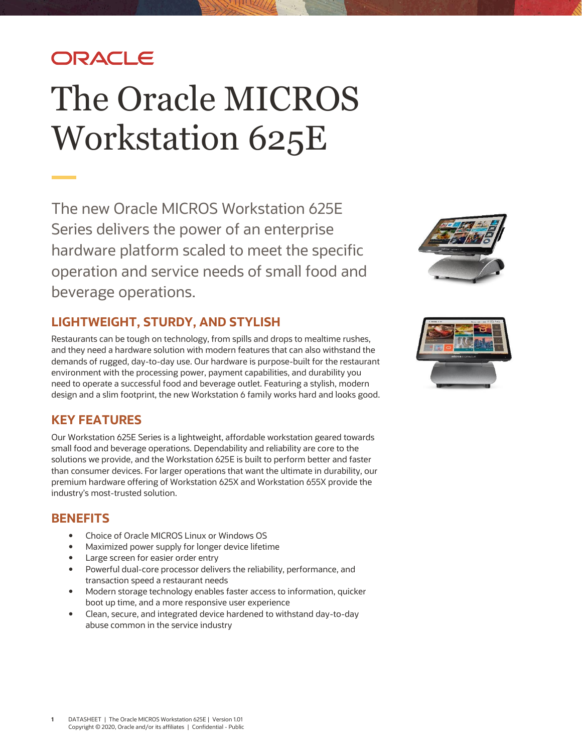# ORACLE

# The Oracle MICROS Workstation 625E

The new Oracle MICROS Workstation 625E Series delivers the power of an enterprise hardware platform scaled to meet the specific operation and service needs of small food and beverage operations.

### **LIGHTWEIGHT, STURDY, AND STYLISH**

Restaurants can be tough on technology, from spills and drops to mealtime rushes, and they need a hardware solution with modern features that can also withstand the demands of rugged, day-to-day use. Our hardware is purpose-built for the restaurant environment with the processing power, payment capabilities, and durability you need to operate a successful food and beverage outlet. Featuring a stylish, modern design and a slim footprint, the new Workstation 6 family works hard and looks good.

## **KEY FEATURES**

Our Workstation 625E Series is a lightweight, affordable workstation geared towards small food and beverage operations. Dependability and reliability are core to the solutions we provide, and the Workstation 625E is built to perform better and faster than consumer devices. For larger operations that want the ultimate in durability, our premium hardware offering of Workstation 625X and Workstation 655X provide the industry's most-trusted solution.

#### **BENEFITS**

- Choice of Oracle MICROS Linux or Windows OS
- Maximized power supply for longer device lifetime
- Large screen for easier order entry
- Powerful dual-core processor delivers the reliability, performance, and transaction speed a restaurant needs
- Modern storage technology enables faster access to information, quicker boot up time, and a more responsive user experience
- Clean, secure, and integrated device hardened to withstand day-to-day abuse common in the service industry